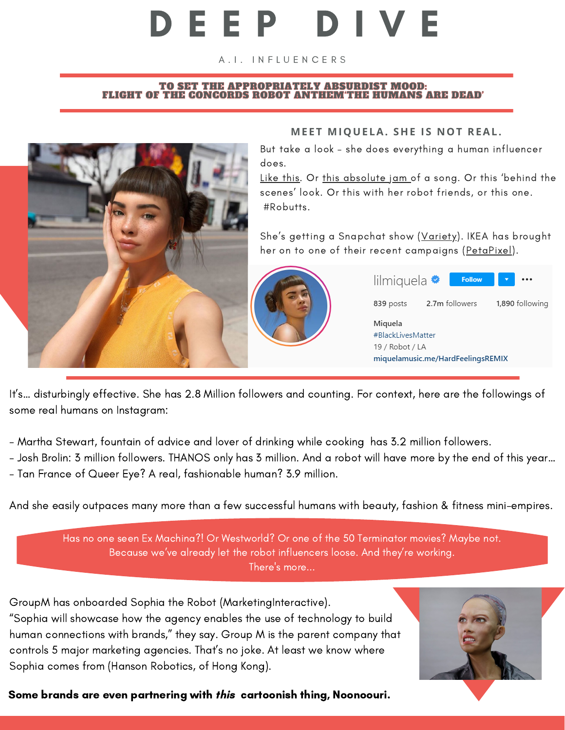## D E E P D I V E

A.I. INFLUENCERS

#### TO SET THE APPROPRIATELY ABSURDIST MOOD: FLIGHT OF THE CONCORDS ROBOT ANTHEM'THE [HUMANS](https://www.youtube.com/watch?v=QWDjLrIDLx4) ARE DEAD'



#### **MEET MIQUELA. SHE I S N OT REAL.**

But take a look – she does everything a human influencer does.

[Like](https://www.instagram.com/p/CEM9vCgnjje/) this. [Or](https://www.instagram.com/p/CD1cB1OH5iT/) this [absolute](https://www.instagram.com/p/CD1cB1OH5iT/) jam of a [song.](https://www.instagram.com/p/CD1cB1OH5iT/) Or this 'behind the scenes' look. Or this with her robot [friends,](https://www.instagram.com/p/B-cqg_vDwcd/) or this [one.](https://www.instagram.com/p/CAVzpZxH9eU/) #Robutts.

She's getting a [Snapchat](https://variety.com/2020/digital/news/miquela-snapchat-show-1234834939/) show ([Variety](https://variety.com/2020/digital/news/miquela-snapchat-show-1234834939/)). IKEA has brought her on to one of their recent [campaigns](https://petapixel.com/2020/09/22/ikea-is-using-a-cgi-influencer-as-the-model-for-its-new-ad-campaign/) ([PetaPixel](https://petapixel.com/2020/09/22/ikea-is-using-a-cgi-influencer-as-the-model-for-its-new-ad-campaign/)).



| lilmiquela <sup>•</sup>                                                              |                | <b>Follow</b> |                 |  |
|--------------------------------------------------------------------------------------|----------------|---------------|-----------------|--|
| 839 posts                                                                            | 2.7m followers |               | 1,890 following |  |
| Miguela<br>#BlackLivesMatter<br>19 / Robot / LA<br>miquelamusic.me/HardFeelingsREMIX |                |               |                 |  |

It's… disturbingly effective. She has 2.8 Million followers and counting. For context, here are the followings of some real humans on Instagram:

- Martha Stewart, fountain of advice and lover of drinking while cooking has 3.2 million followers.

- Josh Brolin: 3 million followers. THANOS only has 3 million. And a robot will have more by the end of this year…

- Tan France of Queer Eye? A real, fashionable human? 3.9 million.

And she easily outpaces many more than a few successful humans with beauty, fashion & fitness mini-empires.

Has no one seen Ex Machina?! Or Westworld? Or one of the 50 Terminator movies? Maybe not. Because we've already let the robot influencers loose. And they're working. There's more...

GroupM has [onboarded](https://www.marketing-interactive.com/groupm-s-inca-onboards-sophia-the-ai-robot-as-content-creator-and-influencer) Sophia the Robot [\(MarketingInteractive\).](https://www.marketing-interactive.com/groupm-s-inca-onboards-sophia-the-ai-robot-as-content-creator-and-influencer) "Sophia will showcase how the agency enables the use of technology to build human [connections](https://www.marketing-interactive.com/groupm-s-inca-onboards-sophia-the-ai-robot-as-content-creator-and-influencer) with brands," they say. Group M is the parent company that controls 5 major marketing agencies. That's no joke. At least we know where Sophia comes from (Hanson Robotics, of Hong Kong).

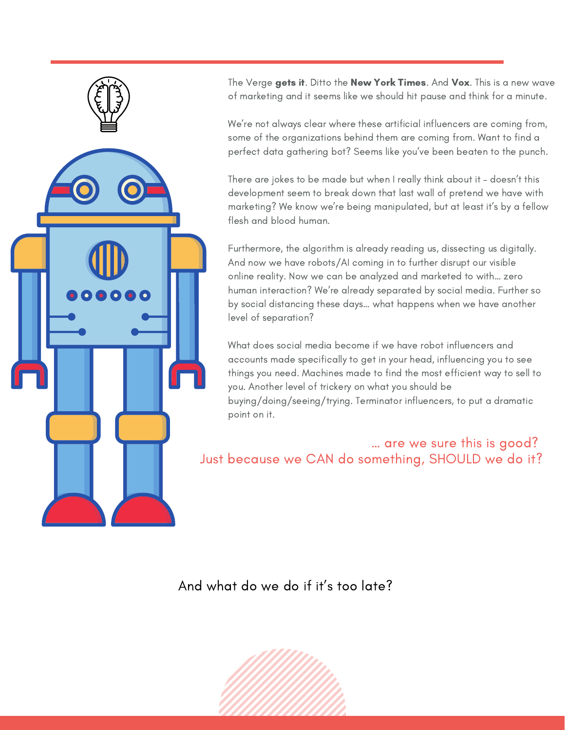

The [Verge](https://www.theverge.com/2019/1/30/18200509/ai-virtual-creators-lil-miquela-instagram-artificial-intelligence) [gets](https://www.theverge.com/2019/1/30/18200509/ai-virtual-creators-lil-miquela-instagram-artificial-intelligence) it[.](https://www.theverge.com/2019/1/30/18200509/ai-virtual-creators-lil-miquela-instagram-artificial-intelligence) [Ditto](https://www.nytimes.com/2019/06/17/business/media/miquela-virtual-influencer.html) the New York [Times](https://www.nytimes.com/2019/06/17/business/media/miquela-virtual-influencer.html). [And](https://www.vox.com/the-goods/2019/6/3/18647626/instagram-virtual-influencers-lil-miquela-ai-startups) [Vox](https://www.vox.com/the-goods/2019/6/3/18647626/instagram-virtual-influencers-lil-miquela-ai-startups). This is a new wave of marketing and it seems like we should hit pause and think for a minute.

We're not always clear where these artificial influencers are coming from, some of the organizations behind them are coming from. Want to find a perfect data gathering bot? Seems like you've been beaten to the punch.

There are jokes to be made but when I really think about it – doesn't this development seem to break down that last wall of pretend we have with marketing? We know we're being manipulated, but at least it's by a fellow flesh and blood human.

Furthermore, the algorithm is already reading us, dissecting us digitally. And now we have robots/AI coming in to further disrupt our visible online reality. Now we can be analyzed and marketed to with… zero human interaction? We're already separated by social media. Further so by social distancing these days… what happens when we have another level of separation?

What does social media become if we have robot influencers and accounts made specifically to get in your head, influencing you to see things you need. Machines made to find the most efficient way to sell to you. Another level of trickery on what you should be buying/doing/seeing/trying. Terminator influencers, to put a dramatic point on it.

### … are we sure this is good? Just because we CAN do something, SHOULD we do it?

And what do we do if it's too late?